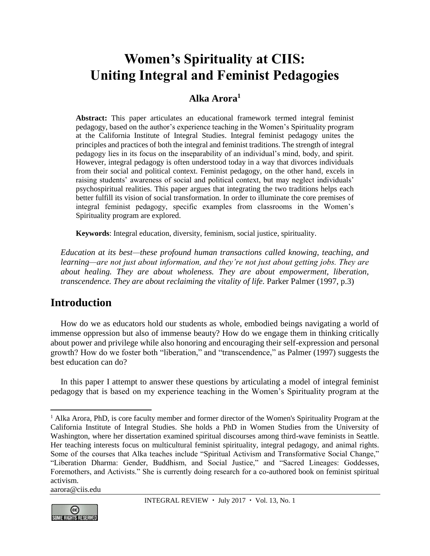# **Women's Spirituality at CIIS: Uniting Integral and Feminist Pedagogies**

## **Alka Arora<sup>1</sup>**

**Abstract:** This paper articulates an educational framework termed integral feminist pedagogy, based on the author's experience teaching in the Women's Spirituality program at the California Institute of Integral Studies. Integral feminist pedagogy unites the principles and practices of both the integral and feminist traditions. The strength of integral pedagogy lies in its focus on the inseparability of an individual's mind, body, and spirit. However, integral pedagogy is often understood today in a way that divorces individuals from their social and political context. Feminist pedagogy, on the other hand, excels in raising students' awareness of social and political context, but may neglect individuals' psychospiritual realities. This paper argues that integrating the two traditions helps each better fulfill its vision of social transformation. In order to illuminate the core premises of integral feminist pedagogy, specific examples from classrooms in the Women's Spirituality program are explored.

**Keywords**: Integral education, diversity, feminism, social justice, spirituality.

*Education at its best—these profound human transactions called knowing, teaching, and learning—are not just about information, and they're not just about getting jobs. They are about healing. They are about wholeness. They are about empowerment, liberation, transcendence. They are about reclaiming the vitality of life.* Parker Palmer (1997, p.3)

# **Introduction**

How do we as educators hold our students as whole, embodied beings navigating a world of immense oppression but also of immense beauty? How do we engage them in thinking critically about power and privilege while also honoring and encouraging their self-expression and personal growth? How do we foster both "liberation," and "transcendence," as Palmer (1997) suggests the best education can do?

In this paper I attempt to answer these questions by articulating a model of integral feminist pedagogy that is based on my experience teaching in the Women's Spirituality program at the

[aarora@ciis.edu](mailto:aarora@ciis.edu)



 $\overline{a}$ <sup>1</sup> Alka Arora, PhD, is core faculty member and former director of the Women's Spirituality Program at the California Institute of Integral Studies. She holds a PhD in Women Studies from the University of Washington, where her dissertation examined spiritual discourses among third-wave feminists in Seattle. Her teaching interests focus on multicultural feminist spirituality, integral pedagogy, and animal rights. Some of the courses that Alka teaches include "Spiritual Activism and Transformative Social Change," "Liberation Dharma: Gender, Buddhism, and Social Justice," and "Sacred Lineages: Goddesses, Foremothers, and Activists." She is currently doing research for a co-authored book on feminist spiritual activism.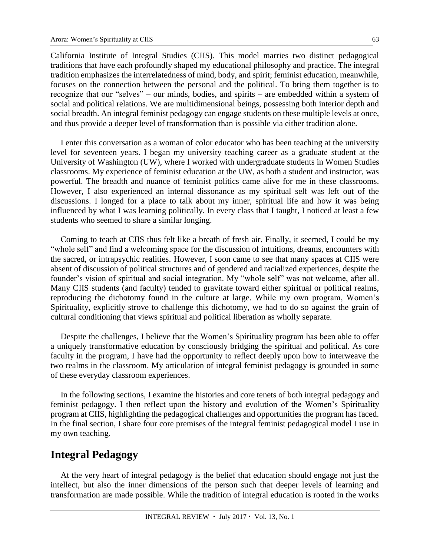California Institute of Integral Studies (CIIS). This model marries two distinct pedagogical traditions that have each profoundly shaped my educational philosophy and practice. The integral tradition emphasizes the interrelatedness of mind, body, and spirit; feminist education, meanwhile, focuses on the connection between the personal and the political. To bring them together is to recognize that our "selves" – our minds, bodies, and spirits – are embedded within a system of social and political relations. We are multidimensional beings, possessing both interior depth and social breadth. An integral feminist pedagogy can engage students on these multiple levels at once, and thus provide a deeper level of transformation than is possible via either tradition alone.

I enter this conversation as a woman of color educator who has been teaching at the university level for seventeen years. I began my university teaching career as a graduate student at the University of Washington (UW), where I worked with undergraduate students in Women Studies classrooms. My experience of feminist education at the UW, as both a student and instructor, was powerful. The breadth and nuance of feminist politics came alive for me in these classrooms. However, I also experienced an internal dissonance as my spiritual self was left out of the discussions. I longed for a place to talk about my inner, spiritual life and how it was being influenced by what I was learning politically. In every class that I taught, I noticed at least a few students who seemed to share a similar longing.

Coming to teach at CIIS thus felt like a breath of fresh air. Finally, it seemed, I could be my "whole self" and find a welcoming space for the discussion of intuitions, dreams, encounters with the sacred, or intrapsychic realities. However, I soon came to see that many spaces at CIIS were absent of discussion of political structures and of gendered and racialized experiences, despite the founder's vision of spiritual and social integration. My "whole self" was not welcome, after all. Many CIIS students (and faculty) tended to gravitate toward either spiritual or political realms, reproducing the dichotomy found in the culture at large. While my own program, Women's Spirituality, explicitly strove to challenge this dichotomy, we had to do so against the grain of cultural conditioning that views spiritual and political liberation as wholly separate.

Despite the challenges, I believe that the Women's Spirituality program has been able to offer a uniquely transformative education by consciously bridging the spiritual and political. As core faculty in the program, I have had the opportunity to reflect deeply upon how to interweave the two realms in the classroom. My articulation of integral feminist pedagogy is grounded in some of these everyday classroom experiences.

In the following sections, I examine the histories and core tenets of both integral pedagogy and feminist pedagogy. I then reflect upon the history and evolution of the Women's Spirituality program at CIIS, highlighting the pedagogical challenges and opportunities the program has faced. In the final section, I share four core premises of the integral feminist pedagogical model I use in my own teaching.

#### **Integral Pedagogy**

At the very heart of integral pedagogy is the belief that education should engage not just the intellect, but also the inner dimensions of the person such that deeper levels of learning and transformation are made possible. While the tradition of integral education is rooted in the works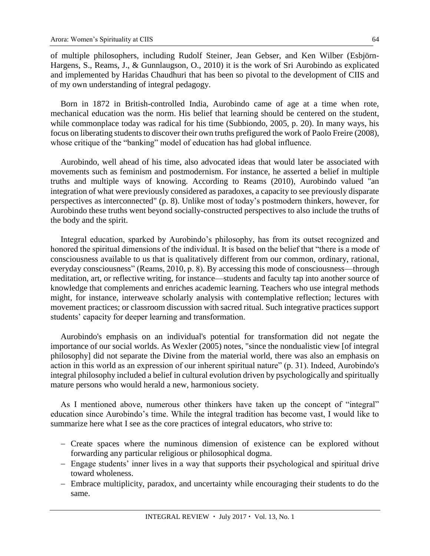of multiple philosophers, including Rudolf Steiner, Jean Gebser, and Ken Wilber (Esbjörn-Hargens, S., Reams, J., & Gunnlaugson, O., 2010) it is the work of Sri Aurobindo as explicated and implemented by Haridas Chaudhuri that has been so pivotal to the development of CIIS and of my own understanding of integral pedagogy.

Born in 1872 in British-controlled India, Aurobindo came of age at a time when rote, mechanical education was the norm. His belief that learning should be centered on the student, while commonplace today was radical for his time (Subbiondo, 2005, p. 20). In many ways, his focus on liberating students to discover their own truths prefigured the work of Paolo Freire (2008), whose critique of the "banking" model of education has had global influence.

Aurobindo, well ahead of his time, also advocated ideas that would later be associated with movements such as feminism and postmodernism. For instance, he asserted a belief in multiple truths and multiple ways of knowing. According to Reams (2010), Aurobindo valued "an integration of what were previously considered as paradoxes, a capacity to see previously disparate perspectives as interconnected" (p. 8). Unlike most of today's postmodern thinkers, however, for Aurobindo these truths went beyond socially-constructed perspectives to also include the truths of the body and the spirit.

Integral education, sparked by Aurobindo's philosophy, has from its outset recognized and honored the spiritual dimensions of the individual. It is based on the belief that "there is a mode of consciousness available to us that is qualitatively different from our common, ordinary, rational, everyday consciousness" (Reams, 2010, p. 8). By accessing this mode of consciousness—through meditation, art, or reflective writing, for instance—students and faculty tap into another source of knowledge that complements and enriches academic learning. Teachers who use integral methods might, for instance, interweave scholarly analysis with contemplative reflection; lectures with movement practices; or classroom discussion with sacred ritual. Such integrative practices support students' capacity for deeper learning and transformation.

Aurobindo's emphasis on an individual's potential for transformation did not negate the importance of our social worlds. As Wexler (2005) notes, "since the nondualistic view [of integral philosophy] did not separate the Divine from the material world, there was also an emphasis on action in this world as an expression of our inherent spiritual nature" (p. 31). Indeed, Aurobindo's integral philosophy included a belief in cultural evolution driven by psychologically and spiritually mature persons who would herald a new, harmonious society.

As I mentioned above, numerous other thinkers have taken up the concept of "integral" education since Aurobindo's time. While the integral tradition has become vast, I would like to summarize here what I see as the core practices of integral educators, who strive to:

- Create spaces where the numinous dimension of existence can be explored without forwarding any particular religious or philosophical dogma.
- Engage students' inner lives in a way that supports their psychological and spiritual drive toward wholeness.
- Embrace multiplicity, paradox, and uncertainty while encouraging their students to do the same.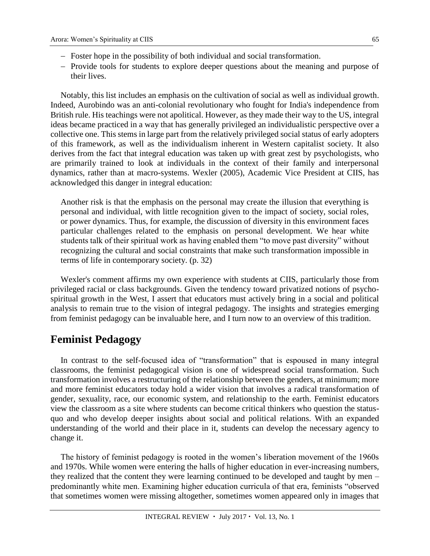- Foster hope in the possibility of both individual and social transformation.
- Provide tools for students to explore deeper questions about the meaning and purpose of their lives.

Notably, this list includes an emphasis on the cultivation of social as well as individual growth. Indeed, Aurobindo was an anti-colonial revolutionary who fought for India's independence from British rule. His teachings were not apolitical. However, as they made their way to the US, integral ideas became practiced in a way that has generally privileged an individualistic perspective over a collective one. This stems in large part from the relatively privileged social status of early adopters of this framework, as well as the individualism inherent in Western capitalist society. It also derives from the fact that integral education was taken up with great zest by psychologists, who are primarily trained to look at individuals in the context of their family and interpersonal dynamics, rather than at macro-systems. Wexler (2005), Academic Vice President at CIIS, has acknowledged this danger in integral education:

Another risk is that the emphasis on the personal may create the illusion that everything is personal and individual, with little recognition given to the impact of society, social roles, or power dynamics. Thus, for example, the discussion of diversity in this environment faces particular challenges related to the emphasis on personal development. We hear white students talk of their spiritual work as having enabled them "to move past diversity" without recognizing the cultural and social constraints that make such transformation impossible in terms of life in contemporary society. (p. 32)

Wexler's comment affirms my own experience with students at CIIS, particularly those from privileged racial or class backgrounds. Given the tendency toward privatized notions of psychospiritual growth in the West, I assert that educators must actively bring in a social and political analysis to remain true to the vision of integral pedagogy. The insights and strategies emerging from feminist pedagogy can be invaluable here, and I turn now to an overview of this tradition.

## **Feminist Pedagogy**

In contrast to the self-focused idea of "transformation" that is espoused in many integral classrooms, the feminist pedagogical vision is one of widespread social transformation. Such transformation involves a restructuring of the relationship between the genders, at minimum; more and more feminist educators today hold a wider vision that involves a radical transformation of gender, sexuality, race, our economic system, and relationship to the earth. Feminist educators view the classroom as a site where students can become critical thinkers who question the statusquo and who develop deeper insights about social and political relations. With an expanded understanding of the world and their place in it, students can develop the necessary agency to change it.

The history of feminist pedagogy is rooted in the women's liberation movement of the 1960s and 1970s. While women were entering the halls of higher education in ever-increasing numbers, they realized that the content they were learning continued to be developed and taught by men – predominantly white men. Examining higher education curricula of that era, feminists "observed that sometimes women were missing altogether, sometimes women appeared only in images that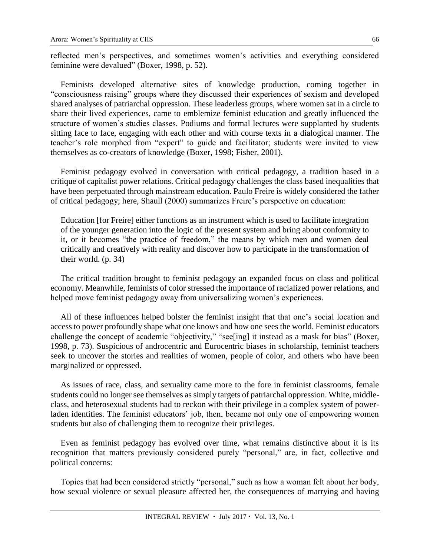reflected men's perspectives, and sometimes women's activities and everything considered feminine were devalued" (Boxer, 1998, p. 52).

Feminists developed alternative sites of knowledge production, coming together in "consciousness raising" groups where they discussed their experiences of sexism and developed shared analyses of patriarchal oppression. These leaderless groups, where women sat in a circle to share their lived experiences, came to emblemize feminist education and greatly influenced the structure of women's studies classes. Podiums and formal lectures were supplanted by students sitting face to face, engaging with each other and with course texts in a dialogical manner. The teacher's role morphed from "expert" to guide and facilitator; students were invited to view themselves as co-creators of knowledge (Boxer, 1998; Fisher, 2001).

Feminist pedagogy evolved in conversation with critical pedagogy, a tradition based in a critique of capitalist power relations. Critical pedagogy challenges the class based inequalities that have been perpetuated through mainstream education. Paulo Freire is widely considered the father of critical pedagogy; here, Shaull (2000) summarizes Freire's perspective on education:

Education [for Freire] either functions as an instrument which is used to facilitate integration of the younger generation into the logic of the present system and bring about conformity to it, or it becomes "the practice of freedom," the means by which men and women deal critically and creatively with reality and discover how to participate in the transformation of their world. (p. 34)

The critical tradition brought to feminist pedagogy an expanded focus on class and political economy. Meanwhile, feminists of color stressed the importance of racialized power relations, and helped move feminist pedagogy away from universalizing women's experiences.

All of these influences helped bolster the feminist insight that that one's social location and access to power profoundly shape what one knows and how one sees the world. Feminist educators challenge the concept of academic "objectivity," "see[ing] it instead as a mask for bias" (Boxer, 1998, p. 73). Suspicious of androcentric and Eurocentric biases in scholarship, feminist teachers seek to uncover the stories and realities of women, people of color, and others who have been marginalized or oppressed.

As issues of race, class, and sexuality came more to the fore in feminist classrooms, female students could no longer see themselves as simply targets of patriarchal oppression. White, middleclass, and heterosexual students had to reckon with their privilege in a complex system of powerladen identities. The feminist educators' job, then, became not only one of empowering women students but also of challenging them to recognize their privileges.

Even as feminist pedagogy has evolved over time, what remains distinctive about it is its recognition that matters previously considered purely "personal," are, in fact, collective and political concerns:

Topics that had been considered strictly "personal," such as how a woman felt about her body, how sexual violence or sexual pleasure affected her, the consequences of marrying and having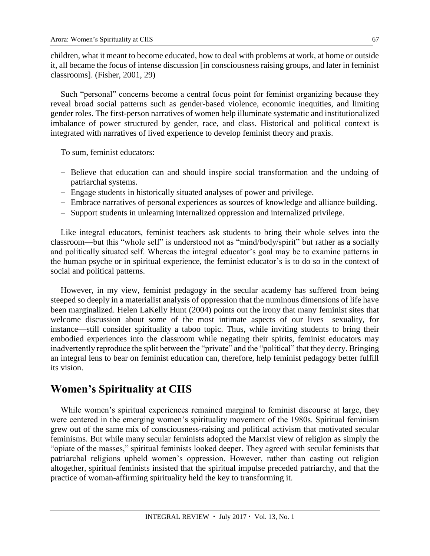children, what it meant to become educated, how to deal with problems at work, at home or outside it, all became the focus of intense discussion [in consciousness raising groups, and later in feminist classrooms]. (Fisher, 2001, 29)

Such "personal" concerns become a central focus point for feminist organizing because they reveal broad social patterns such as gender-based violence, economic inequities, and limiting gender roles. The first-person narratives of women help illuminate systematic and institutionalized imbalance of power structured by gender, race, and class. Historical and political context is integrated with narratives of lived experience to develop feminist theory and praxis.

To sum, feminist educators:

- Believe that education can and should inspire social transformation and the undoing of patriarchal systems.
- Engage students in historically situated analyses of power and privilege.
- Embrace narratives of personal experiences as sources of knowledge and alliance building.
- Support students in unlearning internalized oppression and internalized privilege.

Like integral educators, feminist teachers ask students to bring their whole selves into the classroom—but this "whole self" is understood not as "mind/body/spirit" but rather as a socially and politically situated self. Whereas the integral educator's goal may be to examine patterns in the human psyche or in spiritual experience, the feminist educator's is to do so in the context of social and political patterns.

However, in my view, feminist pedagogy in the secular academy has suffered from being steeped so deeply in a materialist analysis of oppression that the numinous dimensions of life have been marginalized. Helen LaKelly Hunt (2004) points out the irony that many feminist sites that welcome discussion about some of the most intimate aspects of our lives—sexuality, for instance—still consider spirituality a taboo topic. Thus, while inviting students to bring their embodied experiences into the classroom while negating their spirits, feminist educators may inadvertently reproduce the split between the "private" and the "political" that they decry. Bringing an integral lens to bear on feminist education can, therefore, help feminist pedagogy better fulfill its vision.

### **Women's Spirituality at CIIS**

While women's spiritual experiences remained marginal to feminist discourse at large, they were centered in the emerging women's spirituality movement of the 1980s. Spiritual feminism grew out of the same mix of consciousness-raising and political activism that motivated secular feminisms. But while many secular feminists adopted the Marxist view of religion as simply the "opiate of the masses," spiritual feminists looked deeper. They agreed with secular feminists that patriarchal religions upheld women's oppression. However, rather than casting out religion altogether, spiritual feminists insisted that the spiritual impulse preceded patriarchy, and that the practice of woman-affirming spirituality held the key to transforming it.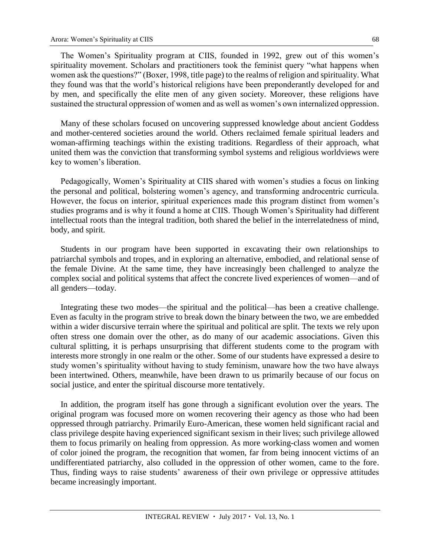The Women's Spirituality program at CIIS, founded in 1992, grew out of this women's spirituality movement. Scholars and practitioners took the feminist query "what happens when women ask the questions?" (Boxer, 1998, title page) to the realms of religion and spirituality. What they found was that the world's historical religions have been preponderantly developed for and by men, and specifically the elite men of any given society. Moreover, these religions have sustained the structural oppression of women and as well as women's own internalized oppression.

Many of these scholars focused on uncovering suppressed knowledge about ancient Goddess and mother-centered societies around the world. Others reclaimed female spiritual leaders and woman-affirming teachings within the existing traditions. Regardless of their approach, what united them was the conviction that transforming symbol systems and religious worldviews were key to women's liberation.

Pedagogically, Women's Spirituality at CIIS shared with women's studies a focus on linking the personal and political, bolstering women's agency, and transforming androcentric curricula. However, the focus on interior, spiritual experiences made this program distinct from women's studies programs and is why it found a home at CIIS. Though Women's Spirituality had different intellectual roots than the integral tradition, both shared the belief in the interrelatedness of mind, body, and spirit.

Students in our program have been supported in excavating their own relationships to patriarchal symbols and tropes, and in exploring an alternative, embodied, and relational sense of the female Divine. At the same time, they have increasingly been challenged to analyze the complex social and political systems that affect the concrete lived experiences of women—and of all genders—today.

Integrating these two modes—the spiritual and the political—has been a creative challenge. Even as faculty in the program strive to break down the binary between the two, we are embedded within a wider discursive terrain where the spiritual and political are split. The texts we rely upon often stress one domain over the other, as do many of our academic associations. Given this cultural splitting, it is perhaps unsurprising that different students come to the program with interests more strongly in one realm or the other. Some of our students have expressed a desire to study women's spirituality without having to study feminism, unaware how the two have always been intertwined. Others, meanwhile, have been drawn to us primarily because of our focus on social justice, and enter the spiritual discourse more tentatively.

In addition, the program itself has gone through a significant evolution over the years. The original program was focused more on women recovering their agency as those who had been oppressed through patriarchy. Primarily Euro-American, these women held significant racial and class privilege despite having experienced significant sexism in their lives; such privilege allowed them to focus primarily on healing from oppression. As more working-class women and women of color joined the program, the recognition that women, far from being innocent victims of an undifferentiated patriarchy, also colluded in the oppression of other women, came to the fore. Thus, finding ways to raise students' awareness of their own privilege or oppressive attitudes became increasingly important.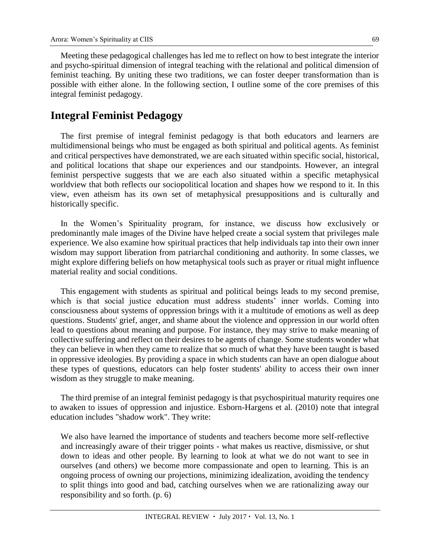Meeting these pedagogical challenges has led me to reflect on how to best integrate the interior and psycho-spiritual dimension of integral teaching with the relational and political dimension of feminist teaching. By uniting these two traditions, we can foster deeper transformation than is possible with either alone. In the following section, I outline some of the core premises of this integral feminist pedagogy.

## **Integral Feminist Pedagogy**

The first premise of integral feminist pedagogy is that both educators and learners are multidimensional beings who must be engaged as both spiritual and political agents. As feminist and critical perspectives have demonstrated, we are each situated within specific social, historical, and political locations that shape our experiences and our standpoints. However, an integral feminist perspective suggests that we are each also situated within a specific metaphysical worldview that both reflects our sociopolitical location and shapes how we respond to it. In this view, even atheism has its own set of metaphysical presuppositions and is culturally and historically specific.

In the Women's Spirituality program, for instance, we discuss how exclusively or predominantly male images of the Divine have helped create a social system that privileges male experience. We also examine how spiritual practices that help individuals tap into their own inner wisdom may support liberation from patriarchal conditioning and authority. In some classes, we might explore differing beliefs on how metaphysical tools such as prayer or ritual might influence material reality and social conditions.

This engagement with students as spiritual and political beings leads to my second premise, which is that social justice education must address students' inner worlds. Coming into consciousness about systems of oppression brings with it a multitude of emotions as well as deep questions. Students' grief, anger, and shame about the violence and oppression in our world often lead to questions about meaning and purpose. For instance, they may strive to make meaning of collective suffering and reflect on their desires to be agents of change. Some students wonder what they can believe in when they came to realize that so much of what they have been taught is based in oppressive ideologies. By providing a space in which students can have an open dialogue about these types of questions, educators can help foster students' ability to access their own inner wisdom as they struggle to make meaning.

The third premise of an integral feminist pedagogy is that psychospiritual maturity requires one to awaken to issues of oppression and injustice. Esborn-Hargens et al. (2010) note that integral education includes "shadow work". They write:

We also have learned the importance of students and teachers become more self-reflective and increasingly aware of their trigger points - what makes us reactive, dismissive, or shut down to ideas and other people. By learning to look at what we do not want to see in ourselves (and others) we become more compassionate and open to learning. This is an ongoing process of owning our projections, minimizing idealization, avoiding the tendency to split things into good and bad, catching ourselves when we are rationalizing away our responsibility and so forth. (p. 6)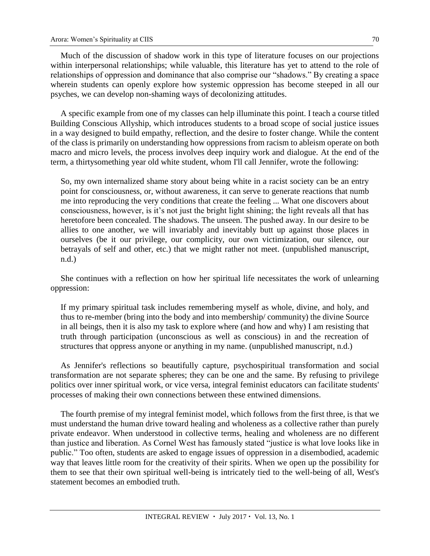Much of the discussion of shadow work in this type of literature focuses on our projections within interpersonal relationships; while valuable, this literature has yet to attend to the role of relationships of oppression and dominance that also comprise our "shadows." By creating a space wherein students can openly explore how systemic oppression has become steeped in all our psyches, we can develop non-shaming ways of decolonizing attitudes.

A specific example from one of my classes can help illuminate this point. I teach a course titled Building Conscious Allyship, which introduces students to a broad scope of social justice issues in a way designed to build empathy, reflection, and the desire to foster change. While the content of the class is primarily on understanding how oppressions from racism to ableism operate on both macro and micro levels, the process involves deep inquiry work and dialogue. At the end of the term, a thirtysomething year old white student, whom I'll call Jennifer, wrote the following:

So, my own internalized shame story about being white in a racist society can be an entry point for consciousness, or, without awareness, it can serve to generate reactions that numb me into reproducing the very conditions that create the feeling ... What one discovers about consciousness, however, is it's not just the bright light shining; the light reveals all that has heretofore been concealed. The shadows. The unseen. The pushed away. In our desire to be allies to one another, we will invariably and inevitably butt up against those places in ourselves (be it our privilege, our complicity, our own victimization, our silence, our betrayals of self and other, etc.) that we might rather not meet. (unpublished manuscript, n.d.)

She continues with a reflection on how her spiritual life necessitates the work of unlearning oppression:

If my primary spiritual task includes remembering myself as whole, divine, and holy, and thus to re-member (bring into the body and into membership/ community) the divine Source in all beings, then it is also my task to explore where (and how and why) I am resisting that truth through participation (unconscious as well as conscious) in and the recreation of structures that oppress anyone or anything in my name. (unpublished manuscript, n.d.)

As Jennifer's reflections so beautifully capture, psychospiritual transformation and social transformation are not separate spheres; they can be one and the same. By refusing to privilege politics over inner spiritual work, or vice versa, integral feminist educators can facilitate students' processes of making their own connections between these entwined dimensions.

The fourth premise of my integral feminist model, which follows from the first three, is that we must understand the human drive toward healing and wholeness as a collective rather than purely private endeavor. When understood in collective terms, healing and wholeness are no different than justice and liberation. As Cornel West has famously stated "justice is what love looks like in public." Too often, students are asked to engage issues of oppression in a disembodied, academic way that leaves little room for the creativity of their spirits. When we open up the possibility for them to see that their own spiritual well-being is intricately tied to the well-being of all, West's statement becomes an embodied truth.